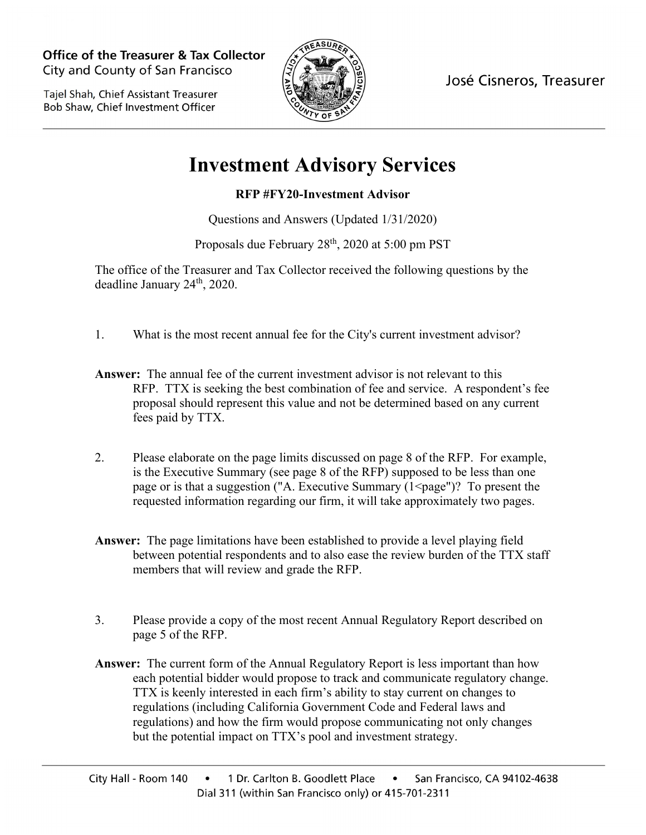**Office of the Treasurer & Tax Collector** City and County of San Francisco

Taiel Shah, Chief Assistant Treasurer Bob Shaw, Chief Investment Officer



José Cisneros, Treasurer

## **Investment Advisory Services**

## **RFP #FY20-Investment Advisor**

Questions and Answers (Updated 1/31/2020)

Proposals due February 28<sup>th</sup>, 2020 at 5:00 pm PST

The office of the Treasurer and Tax Collector received the following questions by the deadline January 24<sup>th</sup>, 2020.

- 1. What is the most recent annual fee for the City's current investment advisor?
- **Answer:** The annual fee of the current investment advisor is not relevant to this RFP. TTX is seeking the best combination of fee and service. A respondent's fee proposal should represent this value and not be determined based on any current fees paid by TTX.
- 2. Please elaborate on the page limits discussed on page 8 of the RFP. For example, is the Executive Summary (see page 8 of the RFP) supposed to be less than one page or is that a suggestion ("A. Executive Summary  $(1 \leq page")$ ? To present the requested information regarding our firm, it will take approximately two pages.
- **Answer:** The page limitations have been established to provide a level playing field between potential respondents and to also ease the review burden of the TTX staff members that will review and grade the RFP.
- 3. Please provide a copy of the most recent Annual Regulatory Report described on page 5 of the RFP.
- **Answer:** The current form of the Annual Regulatory Report is less important than how each potential bidder would propose to track and communicate regulatory change. TTX is keenly interested in each firm's ability to stay current on changes to regulations (including California Government Code and Federal laws and regulations) and how the firm would propose communicating not only changes but the potential impact on TTX's pool and investment strategy.